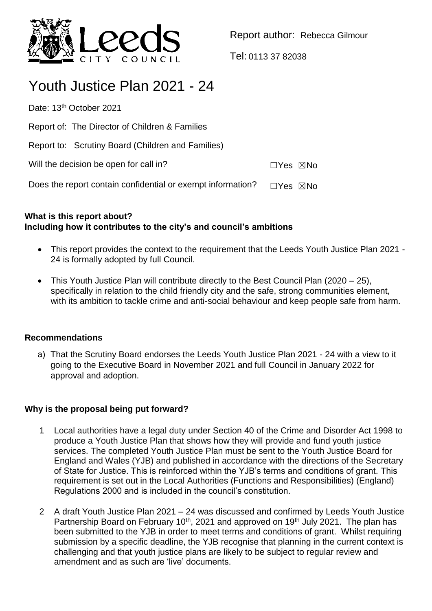

Report author: Rebecca Gilmour

Tel: 0113 37 82038

# Youth Justice Plan 2021 - 24

Date: 13<sup>th</sup> October 2021

Report of: The Director of Children & Families

Report to: Scrutiny Board (Children and Families)

Will the decision be open for call in? ☐Yes ☒No

Does the report contain confidential or exempt information?  $\Box$ Yes  $\boxtimes$ No

# **What is this report about? Including how it contributes to the city's and council's ambitions**

- This report provides the context to the requirement that the Leeds Youth Justice Plan 2021 -24 is formally adopted by full Council.
- This Youth Justice Plan will contribute directly to the Best Council Plan (2020 25), specifically in relation to the child friendly city and the safe, strong communities element, with its ambition to tackle crime and anti-social behaviour and keep people safe from harm.

# **Recommendations**

a) That the Scrutiny Board endorses the Leeds Youth Justice Plan 2021 - 24 with a view to it going to the Executive Board in November 2021 and full Council in January 2022 for approval and adoption.

# **Why is the proposal being put forward?**

- 1 Local authorities have a legal duty under Section 40 of the Crime and Disorder Act 1998 to produce a Youth Justice Plan that shows how they will provide and fund youth justice services. The completed Youth Justice Plan must be sent to the Youth Justice Board for England and Wales (YJB) and published in accordance with the directions of the Secretary of State for Justice. This is reinforced within the YJB's terms and conditions of grant. This requirement is set out in the Local Authorities (Functions and Responsibilities) (England) Regulations 2000 and is included in the council's constitution.
- 2 A draft Youth Justice Plan 2021 24 was discussed and confirmed by Leeds Youth Justice Partnership Board on February 10<sup>th</sup>, 2021 and approved on 19<sup>th</sup> July 2021. The plan has been submitted to the YJB in order to meet terms and conditions of grant. Whilst requiring submission by a specific deadline, the YJB recognise that planning in the current context is challenging and that youth justice plans are likely to be subject to regular review and amendment and as such are 'live' documents.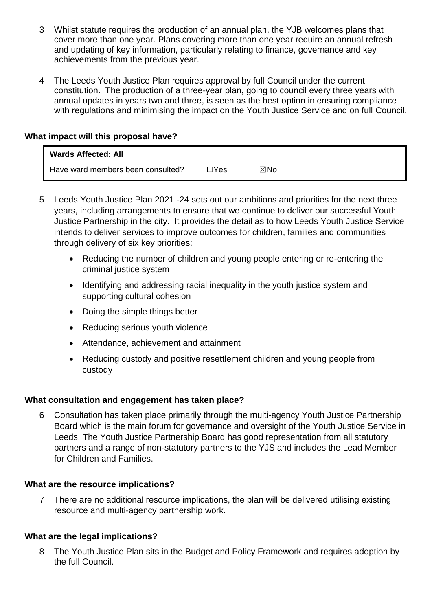- 3 Whilst statute requires the production of an annual plan, the YJB welcomes plans that cover more than one year. Plans covering more than one year require an annual refresh and updating of key information, particularly relating to finance, governance and key achievements from the previous year.
- 4 The Leeds Youth Justice Plan requires approval by full Council under the current constitution. The production of a three-year plan, going to council every three years with annual updates in years two and three, is seen as the best option in ensuring compliance with regulations and minimising the impact on the Youth Justice Service and on full Council.

#### **What impact will this proposal have?**

| <b>Wards Affected: All</b>        |      |     |
|-----------------------------------|------|-----|
| Have ward members been consulted? | ∏Yes | ⊠No |

- 5 Leeds Youth Justice Plan 2021 -24 sets out our ambitions and priorities for the next three years, including arrangements to ensure that we continue to deliver our successful Youth Justice Partnership in the city. It provides the detail as to how Leeds Youth Justice Service intends to deliver services to improve outcomes for children, families and communities through delivery of six key priorities:
	- Reducing the number of children and young people entering or re-entering the criminal justice system
	- Identifying and addressing racial inequality in the youth justice system and supporting cultural cohesion
	- Doing the simple things better
	- Reducing serious youth violence
	- Attendance, achievement and attainment
	- Reducing custody and positive resettlement children and young people from custody

# **What consultation and engagement has taken place?**

6 Consultation has taken place primarily through the multi-agency Youth Justice Partnership Board which is the main forum for governance and oversight of the Youth Justice Service in Leeds. The Youth Justice Partnership Board has good representation from all statutory partners and a range of non-statutory partners to the YJS and includes the Lead Member for Children and Families.

#### **What are the resource implications?**

7 There are no additional resource implications, the plan will be delivered utilising existing resource and multi-agency partnership work.

#### **What are the legal implications?**

8 The Youth Justice Plan sits in the Budget and Policy Framework and requires adoption by the full Council.